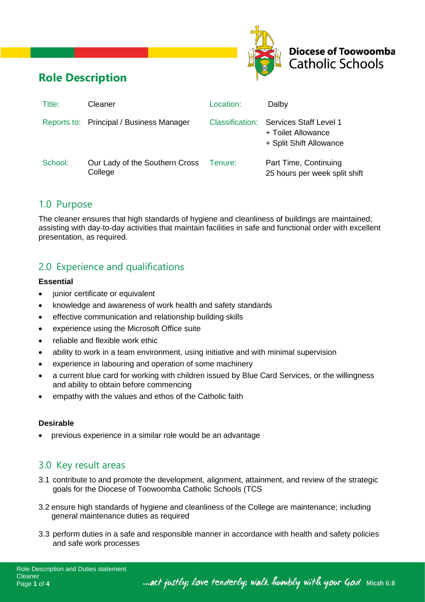



# **Role Description**

| Title:  | Cleaner                                   | Location:       | Dalby                                                                   |
|---------|-------------------------------------------|-----------------|-------------------------------------------------------------------------|
|         | Reports to: Principal / Business Manager  | Classification: | Services Staff Level 1<br>+ Toilet Allowance<br>+ Split Shift Allowance |
| School: | Our Lady of the Southern Cross<br>College | Tenure:         | Part Time, Continuing<br>25 hours per week split shift                  |

### 1.0 Purpose

The cleaner ensures that high standards of hygiene and cleanliness of buildings are maintained; assisting with day-to-day activities that maintain facilities in safe and functional order with excellent presentation, as required.

## 2.0 Experience and qualifications

#### **Essential**

- junior certificate or equivalent
- knowledge and awareness of work health and safety standards
- effective communication and relationship building skills
- experience using the Microsoft Office suite
- reliable and flexible work ethic
- ability to work in a team environment, using initiative and with minimal supervision
- experience in labouring and operation of some machinery
- a current blue card for working with children issued by Blue Card Services, or the willingness and ability to obtain before commencing
- empathy with the values and ethos of the Catholic faith

#### **Desirable**

• previous experience in a similar role would be an advantage

### 3.0 Key result areas

- 3.1 contribute to and promote the development, alignment, attainment, and review of the strategic goals for the Diocese of Toowoomba Catholic Schools (TCS
- 3.2 ensure high standards of hygiene and cleanliness of the College are maintenance; including general maintenance duties as required
- 3.3 perform duties in a safe and responsible manner in accordance with health and safety policies and safe work processes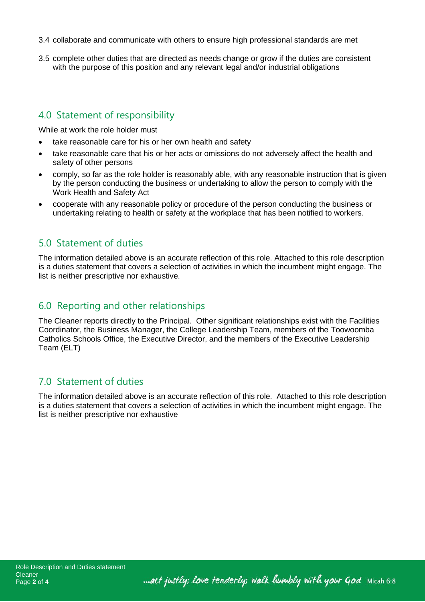- 3.4 collaborate and communicate with others to ensure high professional standards are met
- 3.5 complete other duties that are directed as needs change or grow if the duties are consistent with the purpose of this position and any relevant legal and/or industrial obligations

### 4.0 Statement of responsibility

While at work the role holder must

- take reasonable care for his or her own health and safety
- take reasonable care that his or her acts or omissions do not adversely affect the health and safety of other persons
- comply, so far as the role holder is reasonably able, with any reasonable instruction that is given by the person conducting the business or undertaking to allow the person to comply with the Work Health and Safety Act
- cooperate with any reasonable policy or procedure of the person conducting the business or undertaking relating to health or safety at the workplace that has been notified to workers.

### 5.0 Statement of duties

The information detailed above is an accurate reflection of this role. Attached to this role description is a duties statement that covers a selection of activities in which the incumbent might engage. The list is neither prescriptive nor exhaustive.

### 6.0 Reporting and other relationships

The Cleaner reports directly to the Principal. Other significant relationships exist with the Facilities Coordinator, the Business Manager, the College Leadership Team, members of the Toowoomba Catholics Schools Office, the Executive Director, and the members of the Executive Leadership Team (ELT)

### 7.0 Statement of duties

The information detailed above is an accurate reflection of this role. Attached to this role description is a duties statement that covers a selection of activities in which the incumbent might engage. The list is neither prescriptive nor exhaustive

... act justly; love tenderly; walk humbly with your God Micah 6:8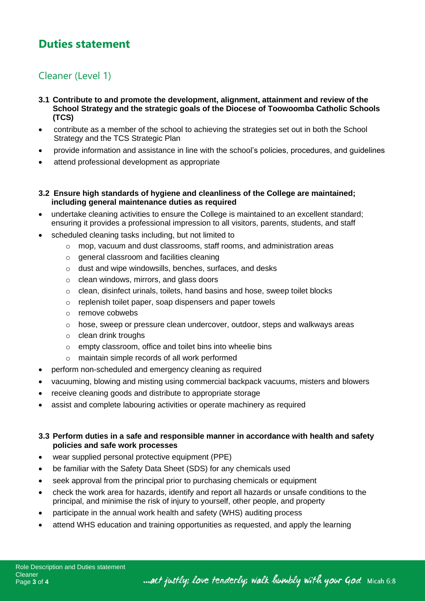# **Duties statement**

### Cleaner (Level 1)

- **3.1 Contribute to and promote the development, alignment, attainment and review of the School Strategy and the strategic goals of the Diocese of Toowoomba Catholic Schools (TCS)**
- contribute as a member of the school to achieving the strategies set out in both the School Strategy and the TCS Strategic Plan
- provide information and assistance in line with the school's policies, procedures, and guidelines
- attend professional development as appropriate
- **3.2 Ensure high standards of hygiene and cleanliness of the College are maintained; including general maintenance duties as required**
- undertake cleaning activities to ensure the College is maintained to an excellent standard; ensuring it provides a professional impression to all visitors, parents, students, and staff
- scheduled cleaning tasks including, but not limited to
	- o mop, vacuum and dust classrooms, staff rooms, and administration areas
	- o general classroom and facilities cleaning
	- o dust and wipe windowsills, benches, surfaces, and desks
	- o clean windows, mirrors, and glass doors
	- o clean, disinfect urinals, toilets, hand basins and hose, sweep toilet blocks
	- o replenish toilet paper, soap dispensers and paper towels
	- o remove cobwebs
	- o hose, sweep or pressure clean undercover, outdoor, steps and walkways areas
	- o clean drink troughs
	- o empty classroom, office and toilet bins into wheelie bins
	- o maintain simple records of all work performed
- perform non-scheduled and emergency cleaning as required
- vacuuming, blowing and misting using commercial backpack vacuums, misters and blowers
- receive cleaning goods and distribute to appropriate storage
- assist and complete labouring activities or operate machinery as required

#### **3.3 Perform duties in a safe and responsible manner in accordance with health and safety policies and safe work processes**

- wear supplied personal protective equipment (PPE)
- be familiar with the Safety Data Sheet (SDS) for any chemicals used
- seek approval from the principal prior to purchasing chemicals or equipment
- check the work area for hazards, identify and report all hazards or unsafe conditions to the principal, and minimise the risk of injury to yourself, other people, and property
- participate in the annual work health and safety (WHS) auditing process
- attend WHS education and training opportunities as requested, and apply the learning

... act justly; love tenderly; walk humbly with your God Micah 6:8